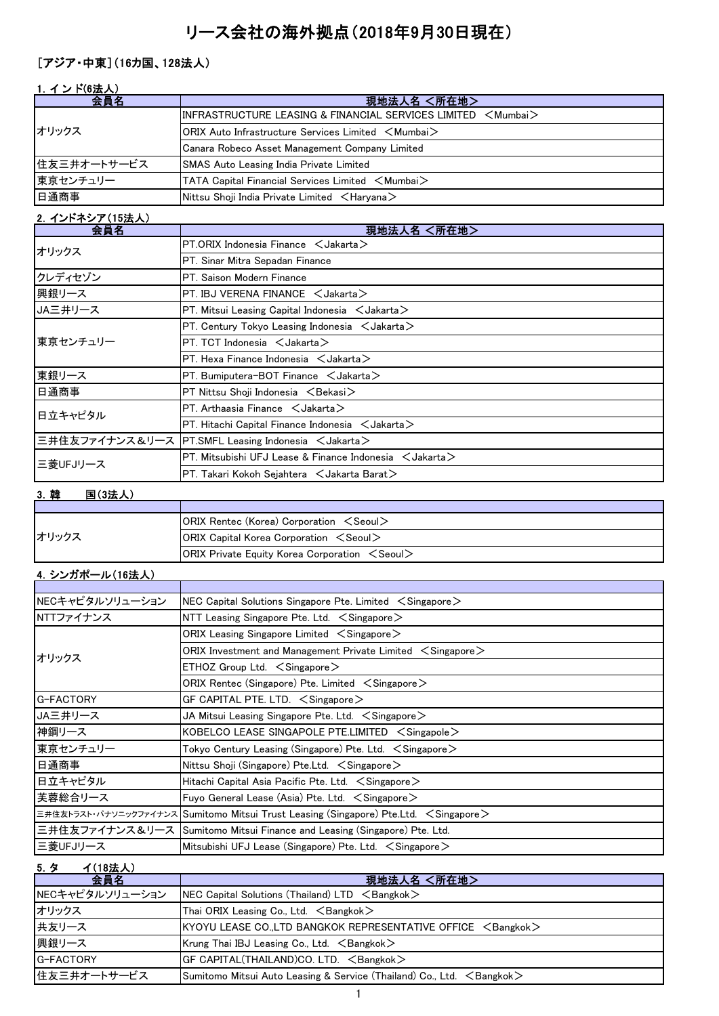# リース会社の海外拠点(2018年9月30日現在)

## [アジア・中東](16カ国、128法人)

| 1. インド(6法人) |                                                                                                      |
|-------------|------------------------------------------------------------------------------------------------------|
| 会員名         | 現地法人名 <所在地>                                                                                          |
| オリックス       | $\textsf{IINFRASTRUCTURE LEASING & \textsf{FINANCIAL SERVICES LIMITED} < \textsf{Mumbai} >$          |
|             | $\mathsf{ORIX}$ Auto Infrastructure Services Limited $\mathord{\leq} \mathsf{Mumbai} \mathord{\geq}$ |
|             | Canara Robeco Asset Management Company Limited                                                       |
| 住友三井オートサービス | <b>SMAS Auto Leasing India Private Limited</b>                                                       |
| 東京センチュリー    | TATA Capital Financial Services Limited <mumbai></mumbai>                                            |
| 日通商事        | Nittsu Shoji India Private Limited $\leq$ Haryana $\geq$                                             |

## 2. インドネシア(15法人)

| 会員名      | 現地法人名 <所在地>                                                        |
|----------|--------------------------------------------------------------------|
| オリックス    | $PT.$ ORIX Indonesia Finance $\lt$ Jakarta $\gt$                   |
|          | PT. Sinar Mitra Sepadan Finance                                    |
| クレディセゾン  | PT. Saison Modern Finance                                          |
| 興銀リース    | PT. IBJ VERENA FINANCE $\lt$ Jakarta $>$                           |
| JA三井リース  | PT. Mitsui Leasing Capital Indonesia $\leq$ Jakarta $\geq$         |
|          | PT. Century Tokyo Leasing Indonesia $\lt$ Jakarta $\gt$            |
| 東京センチュリー | $PT. TCT$ Indonesia $\lt$ Jakarta $\gt$                            |
|          | $PT.$ Hexa Finance Indonesia $\lt$ Jakarta $\gt$                   |
| 東銀リース    | $PT.$ Bumiputera-BOT Finance $\lt$ Jakarta $>$                     |
| 日通商事     | PT Nittsu Shoji Indonesia <bekasi></bekasi>                        |
| 日立キャピタル  | PT. Arthaasia Finance $\leq$ Jakarta $\geq$                        |
|          | $PT.$ Hitachi Capital Finance Indonesia $\lt$ Jakarta $>$          |
|          | 三井住友ファイナンス&リース  PT.SMFL Leasing Indonesia <jakarta></jakarta>      |
| 三菱UFJリース | PT. Mitsubishi UFJ Lease & Finance Indonesia $\leq$ Jakarta $\geq$ |
|          | $PT$ . Takari Kokoh Sejahtera $\lt$ Jakarta Barat $\gt$            |

## 3.韓 国(3法人)

| オリックス | <b>ORIX Rentec (Korea) Corporation <seoul></seoul></b>     |
|-------|------------------------------------------------------------|
|       | $ ORIX$ Capital Korea Corporation $\le$ Seoul $\ge$        |
|       | $ ORIX$ Private Equity Korea Corporation $\le$ Seoul $\ge$ |

# 4.シンガポール(16法人)

| NECキャピタルソリューション | NEC Capital Solutions Singapore Pte. Limited $\leq$ Singapore $\geq$                  |
|-----------------|---------------------------------------------------------------------------------------|
| NTTファイナンス       | NTT Leasing Singapore Pte. Ltd. $\leq$ Singapore $\geq$                               |
|                 | ORIX Leasing Singapore Limited $\, <$ Singapore $>$                                   |
| オリックス           | ORIX Investment and Management Private Limited $\, <$ Singapore $>$                   |
|                 | $ETHOZ$ Group Ltd. $\leq$ Singapore $\geq$                                            |
|                 | ORIX Rentec (Singapore) Pte. Limited $\leq$ Singapore $\geq$                          |
| G-FACTORY       | GF CAPITAL PTE. LTD. $\leq$ Singapore $\geq$                                          |
| JA三井リース         | JA Mitsui Leasing Singapore Pte. Ltd. $\, <$ Singapore $>$                            |
| 神鋼リース           | KOBELCO LEASE SINGAPOLE PTE.LIMITED $\leq$ Singapole $\geq$                           |
| 東京センチュリー        | Tokyo Century Leasing (Singapore) Pte. Ltd. $\, <$ Singapore $>$                      |
| 日通商事            | Nittsu Shoji (Singapore) Pte.Ltd. $\leq$ Singapore $\geq$                             |
| 日立キャピタル         | Hitachi Capital Asia Pacific Pte. Ltd. $\leq$ Singapore $\geq$                        |
| 芙蓉総合リース         | Fuyo General Lease (Asia) Pte. Ltd. $\leq$ Singapore $\geq$                           |
|                 | 三井住友トラスト・パナソニックファイナンス Sumitomo Mitsui Trust Leasing (Singapore) Pte.Ltd. < Singapore> |
|                 | 三井住友ファイナンス&リース  Sumitomo Mitsui Finance and Leasing (Singapore) Pte. Ltd.             |
| 三菱UFJリース        | Mitsubishi UFJ Lease (Singapore) Pte. Ltd. $\leq$ Singapore $\geq$                    |

5.タ イ(18法人)

| $\mathsf{U} \cdot \mathsf{V}$ in the set of $\mathsf{U}$<br>会員名 | 現地法人名 <所在地>                                                                    |
|-----------------------------------------------------------------|--------------------------------------------------------------------------------|
| NECキャピタルソリューション                                                 | NEC Capital Solutions (Thailand) $LTD \leq$ Bangkok $>$                        |
| オリックス                                                           | Thai ORIX Leasing Co., Ltd. $\leq$ Bangkok $>$                                 |
| 共友リース                                                           | $KYOYU$ LEASE CO., LTD BANGKOK REPRESENTATIVE OFFICE $\leq$ Bangkok $>$        |
| 興銀リース                                                           | Krung Thai IBJ Leasing Co., Ltd. $\leq$ Bangkok $>$                            |
| <b>G-FACTORY</b>                                                | GF CAPITAL(THAILAND)CO. LTD. <bangkok></bangkok>                               |
| 住友三井オートサービス                                                     | Sumitomo Mitsui Auto Leasing & Service (Thailand) Co., Ltd. $\leq$ Bangkok $>$ |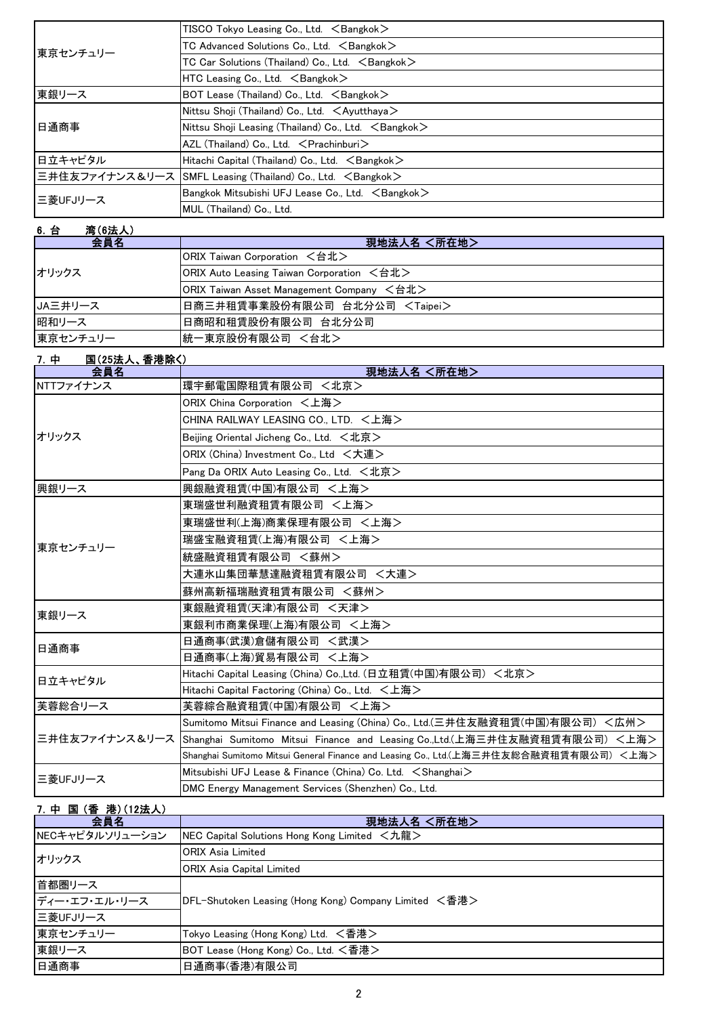| 東京センチュリー | $TISCO$ Tokyo Leasing Co., Ltd. $\leq$ Bangkok $>$                   |
|----------|----------------------------------------------------------------------|
|          | TC Advanced Solutions Co., Ltd. <bangkok></bangkok>                  |
|          | TC Car Solutions (Thailand) Co., Ltd. <bangkok></bangkok>            |
|          | $HTC$ Leasing Co., Ltd. $\leq$ Bangkok $>$                           |
| 東銀リース    | BOT Lease (Thailand) Co., Ltd. <bangkok></bangkok>                   |
| 旧通商事     | Nittsu Shoji (Thailand) Co., Ltd. $\lt$ Ayutthaya $>$                |
|          | Nittsu Shoji Leasing (Thailand) Co., Ltd. $\leq$ Bangkok $>$         |
|          | $AZL$ (Thailand) Co., Ltd. $\leq$ Prachinburi $>$                    |
| 日立キャピタル  | Hitachi Capital (Thailand) Co., Ltd. $\leq$ Bangkok $\geq$           |
|          | 三井住友ファイナンス&リース SMFL Leasing (Thailand) Co., Ltd. <bangkok></bangkok> |
| 三菱UFJリース | Bangkok Mitsubishi UFJ Lease Co., Ltd. <bangkok></bangkok>           |
|          | MUL (Thailand) Co., Ltd.                                             |

| 湾(6法人)<br>6. 台 |                                           |
|----------------|-------------------------------------------|
| 会員名            | 現地法人名 <所在地>                               |
| オリックス          | ORIX Taiwan Corporation <台北>              |
|                | ORIX Auto Leasing Taiwan Corporation <台北> |
|                | ORIX Taiwan Asset Management Company <台北> |
| JA三井リース        | 日商三井租賃事業股份有限公司 台北分公司 <taipei></taipei>    |
| 昭和リース          | 日商昭和租賃股份有限公司 台北分公司                        |
| 東京センチュリー       | 統一東京股份有限公司 <台北>                           |

| 7. 中<br>国(25法人、香港除く) |                                                                                           |
|----------------------|-------------------------------------------------------------------------------------------|
| 会員名                  | 現地法人名 <所在地>                                                                               |
| NTTファイナンス            | 環宇郵電国際租賃有限公司 <北京>                                                                         |
|                      | ORIX China Corporation <上海>                                                               |
|                      | CHINA RAILWAY LEASING CO., LTD. <上海>                                                      |
| オリックス                | Beijing Oriental Jicheng Co., Ltd. $\lt t$ 北京 $>$                                         |
|                      | ORIX (China) Investment Co., Ltd <大連>                                                     |
|                      | Pang Da ORIX Auto Leasing Co., Ltd. <北京>                                                  |
| 興銀リース                | 興銀融資租賃(中国)有限公司 <上海>                                                                       |
|                      | 東瑞盛世利融資租賃有限公司 <上海>                                                                        |
|                      | 東瑞盛世利(上海)商業保理有限公司 <上海>                                                                    |
| 東京センチュリー             | 瑞盛宝融資租賃(上海)有限公司 <上海>                                                                      |
|                      | 統盛融資租賃有限公司 <蘇州>                                                                           |
|                      | 大連氷山集団華慧達融資租賃有限公司 <大連>                                                                    |
|                      | 蘇州高新福瑞融資租賃有限公司 <蘇州>                                                                       |
| 東銀リース                | 東銀融資租賃(天津)有限公司 <天津>                                                                       |
|                      | 東銀利市商業保理(上海)有限公司 <上海>                                                                     |
| 日通商事                 | 日通商事(武漢)倉儲有限公司 <武漢>                                                                       |
|                      | 日通商事(上海)貿易有限公司 <上海>                                                                       |
| 日立キャピタル              | Hitachi Capital Leasing (China) Co.,Ltd. (日立租賃(中国)有限公司)<北京>                               |
|                      | Hitachi Capital Factoring (China) Co., Ltd. <上海>                                          |
| 芙蓉総合リース              | 芙蓉綜合融資租賃(中国)有限公司 <上海>                                                                     |
|                      | Sumitomo Mitsui Finance and Leasing (China) Co., Ltd.(三井住友融資租賃(中国)有限公司) <広州>              |
|                      | 三井住友ファイナンス&リース Shanghai Sumitomo Mitsui Finance and Leasing Co.,Ltd.(上海三井住友融資租賃有限公司) <上海> |
|                      | Shanghai Sumitomo Mitsui General Finance and Leasing Co., Ltd.(上海三井住友総合融資租賃有限公司) <上海>     |
| 三菱UFJリース             | Mitsubishi UFJ Lease & Finance (China) Co. Ltd. < Shanghai>                               |
|                      | DMC Energy Management Services (Shenzhen) Co., Ltd.                                       |

## 7.中 国 (香 港)(12法人)

| 会員名             | 現地法人名 <所在地>                                               |
|-----------------|-----------------------------------------------------------|
| NECキャピタルソリューション | <b>NEC Capital Solutions Hong Kong Limited &lt;九龍&gt;</b> |
| オリックス           | <b>ORIX Asia Limited</b>                                  |
|                 | ORIX Asia Capital Limited                                 |
| 首都圏リース          | DFL-Shutoken Leasing (Hong Kong) Company Limited <香港>     |
| ディー・エフ・エル・リース   |                                                           |
| ニ菱UFJリース        |                                                           |
| 東京センチュリー        | Tokyo Leasing (Hong Kong) Ltd. <香港>                       |
| 東銀リース           | BOT Lease (Hong Kong) Co., Ltd. <香港>                      |
| 日通商事            | 日通商事(香港)有限公司                                              |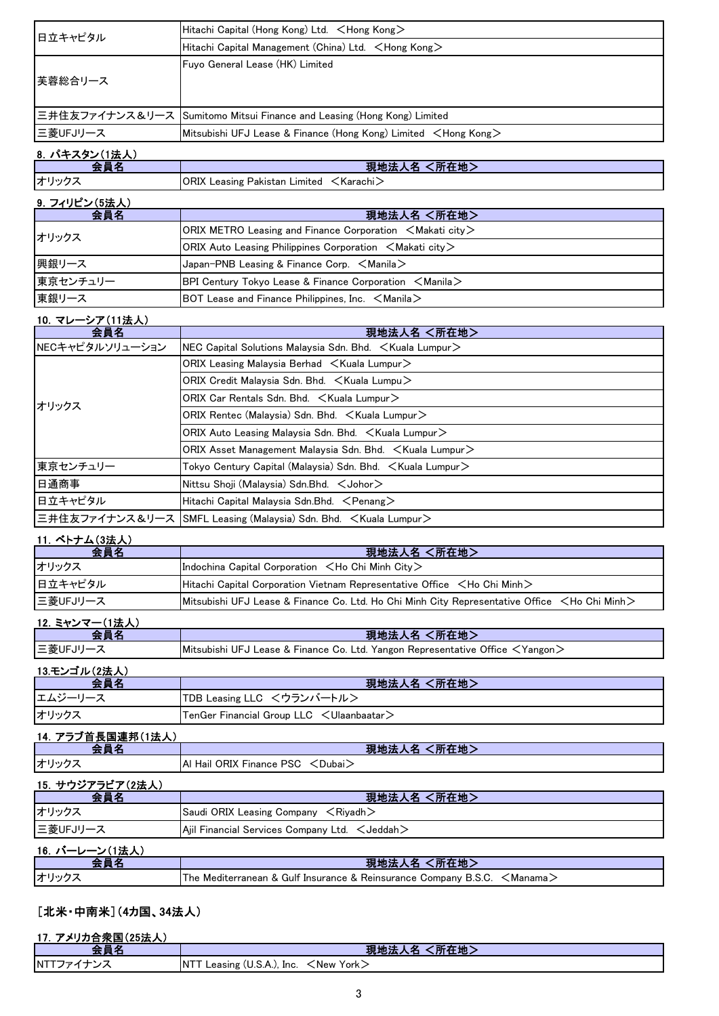| 日立キャピタル  | Hitachi Capital (Hong Kong) Ltd. <hong kong=""></hong>                   |
|----------|--------------------------------------------------------------------------|
|          | Hitachi Capital Management (China) Ltd. <hong kong=""></hong>            |
|          | Fuyo General Lease (HK) Limited                                          |
| 芙蓉総合リース  |                                                                          |
|          |                                                                          |
|          | 三井住友ファイナンス&リース  Sumitomo Mitsui Finance and Leasing (Hong Kong) Limited  |
| 三菱UFJリース | Mitsubishi UFJ Lease & Finance (Hong Kong) Limited <hong kong=""></hong> |
|          |                                                                          |

## 8.パキスタン(1法人)

| $\overline{\phantom{a}}$ | 現地法人名<br>(所在地)                                           |
|--------------------------|----------------------------------------------------------|
| オリックニ                    | <b>ORIX Leasing Pakistan Limited <karachi></karachi></b> |

#### 9. フィリピン(5法人)

| 会員名      | 現地法人名 <所在地>                                                                                       |
|----------|---------------------------------------------------------------------------------------------------|
| オリックス    | $ ORIX$ METRO Leasing and Finance Corporation $\leq$ Makati city $\geq$                           |
|          | $ ORIX$ Auto Leasing Philippines Corporation $\leq$ Makati city $\geq$                            |
| 興銀リース    | $\vert$ Japan-PNB Leasing & Finance Corp. $\leq$ Manila $\geq$                                    |
| 東京センチュリー | <b>BPI Century Tokyo Lease &amp; Finance Corporation <math>\leq</math>Manila<math>\geq</math></b> |
| 東銀リース    | BOT Lease and Finance Philippines, Inc. $\leq$ Manila $\geq$                                      |

#### 10.マレーシア(11法人)

| 会員名             | 現地法人名 <所在地>                                                              |
|-----------------|--------------------------------------------------------------------------|
| NECキャピタルソリューション | NEC Capital Solutions Malaysia Sdn. Bhd. $\lt$ Kuala Lumpur $\gt$        |
| オリックス           | ORIX Leasing Malaysia Berhad $\leq$ Kuala Lumpur $\geq$                  |
|                 | ORIX Credit Malaysia Sdn. Bhd. $\leq$ Kuala Lumpu $\geq$                 |
|                 | ORIX Car Rentals Sdn. Bhd. < Kuala Lumpur>                               |
|                 | ORIX Rentec (Malaysia) Sdn. Bhd. < Kuala Lumpur>                         |
|                 | ORIX Auto Leasing Malaysia Sdn. Bhd. < Kuala Lumpur>                     |
|                 | ORIX Asset Management Malaysia Sdn. Bhd. < Kuala Lumpur>                 |
| 東京センチュリー        | Tokyo Century Capital (Malaysia) Sdn. Bhd. $\,$ $\,<$ Kuala Lumpur $\,>$ |
| 日通商事            | Nittsu Shoji (Malaysia) Sdn.Bhd. < Johor>                                |
| 日立キャピタル         | Hitachi Capital Malaysia Sdn.Bhd. <penang></penang>                      |
|                 | 三井住友ファイナンス&リース  SMFL Leasing (Malaysia) Sdn. Bhd. 〈Kuala Lumpur>         |

### 11. ベトナム(3法人)

| 会員名       | 現地法人名 <所在地>                                                                                             |  |
|-----------|---------------------------------------------------------------------------------------------------------|--|
| オリックス     | Indochina Capital Corporation $\lt$ Ho Chi Minh City $\gt$                                              |  |
| 日立キャピタル   | Hitachi Capital Corporation Vietnam Representative Office <ho chi="" minh=""></ho>                      |  |
| ■三菱UFJリース | Mitsubishi UFJ Lease & Finance Co. Ltd. Ho Chi Minh City Representative Office <ho chi="" minh=""></ho> |  |

#### 12.ミャンマー(1法人)

|          | 現地法人名 <所在地>                                                                               |
|----------|-------------------------------------------------------------------------------------------|
| 三菱UFJリー. | Mitsubishi UFJ Lease & Finance Co. Ltd. Yangon Representative Office $\leq$ Yangon $\geq$ |

### 13.モンゴル(2法人)

| <b>스昌々</b> | 現地法人名 <所在地>                                                    |
|------------|----------------------------------------------------------------|
| エムジーリース    | ┃TDB Leasing LLC <ウランバートル>                                     |
| オリックス      | <b>ITenGer Financial Group LLC</b> <ulaanbaatar></ulaanbaatar> |

### 14.アラブ首長国連邦(1法人)

| $\sim$<br>- | $-14.4$<br>所任地。<br>─現耶"<br>- 73                          |
|-------------|----------------------------------------------------------|
| オリック        | PSC<br>--<br>ORIX<br>Hail<br><b>Finance</b> r<br>.Dubai. |

#### 15.サウジアラビア(2法人) 現地法人名 <所在地> オリックス Saudi ORIX Leasing Company <Riyadh> 三菱UFJリース <br>
Ajil Financial Services Company Ltd. <Jeddah> 16.バーレーン(1法人)

| 10. ハーレーノ (1)ムハ |                                                                 |           |
|-----------------|-----------------------------------------------------------------|-----------|
|                 | 〔所在地〕<br>現地法                                                    |           |
| オリック.           | The Mediterranean & Gulf Insurance & Reinsurance Company B.S.C. | ∕Manama ∠ |

## [北米・中南米](4カ国、34法人)

#### 17.アメリカ合衆国(25法人) 現地法人名 <所在地> NTTファイナンス | NTT Leasing (U.S.A.), Inc. <New York>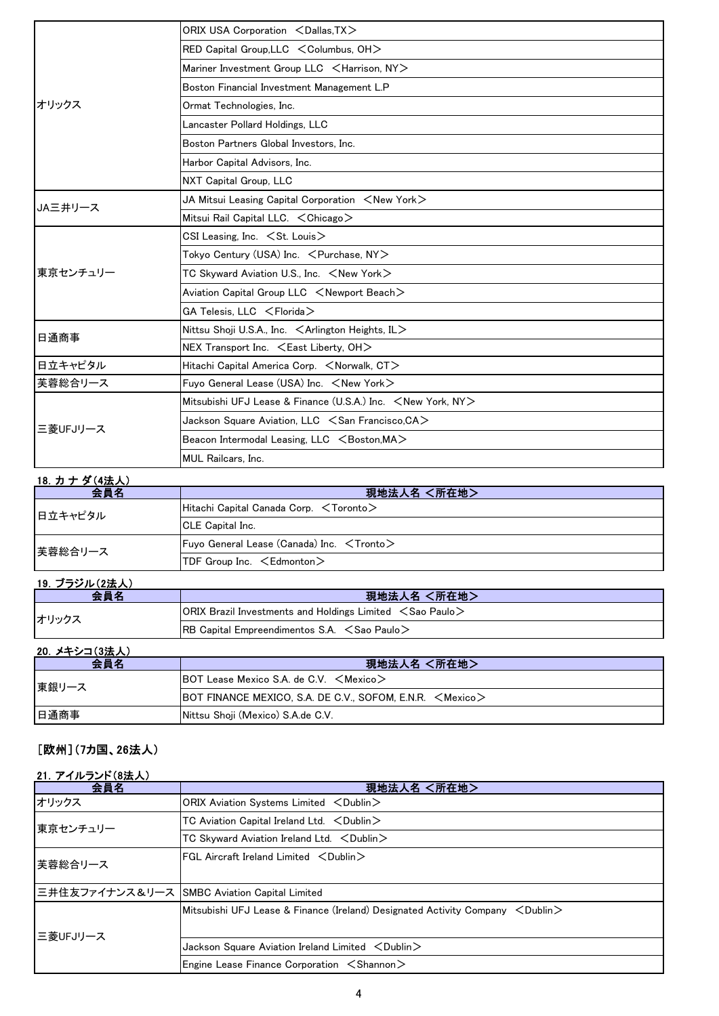|          | ORIX USA Corporation <dallas.tx></dallas.tx>                            |
|----------|-------------------------------------------------------------------------|
|          | RED Capital Group, LLC < Columbus, OH>                                  |
|          | Mariner Investment Group LLC <harrison, ny=""></harrison,>              |
|          | Boston Financial Investment Management L.P                              |
| オリックス    | Ormat Technologies, Inc.                                                |
|          | Lancaster Pollard Holdings, LLC                                         |
|          | Boston Partners Global Investors, Inc.                                  |
|          | Harbor Capital Advisors, Inc.                                           |
|          | NXT Capital Group, LLC                                                  |
| JA三井リース  | JA Mitsui Leasing Capital Corporation $\,$ $\leq$ New York $\,>$        |
|          | Mitsui Rail Capital LLC. < Chicago>                                     |
|          | CSI Leasing, Inc. $\leq$ St. Louis $>$                                  |
|          | Tokyo Century (USA) Inc. < Purchase, NY>                                |
| 東京センチュリー | TC Skyward Aviation U.S., Inc. <new york=""></new>                      |
|          | Aviation Capital Group LLC <newport beach=""></newport>                 |
|          | GA Telesis, LLC <florida></florida>                                     |
|          | Nittsu Shoji U.S.A., Inc. $\leq$ Arlington Heights, IL $>$              |
| 日通商事     | NEX Transport Inc. <east liberty,="" oh=""></east>                      |
| 日立キャピタル  | Hitachi Capital America Corp. <norwalk, ct=""></norwalk,>               |
| 芙蓉総合リース  | Fuyo General Lease (USA) Inc. <new york=""></new>                       |
|          | Mitsubishi UFJ Lease & Finance (U.S.A.) Inc. <new ny="" york,=""></new> |
| 三菱UFJリース | Jackson Square Aviation, LLC $\,<$ San Francisco,CA $>$                 |
|          | Beacon Intermodal Leasing, LLC <boston, ma=""></boston,>                |
|          | <b>MUL Railcars, Inc.</b>                                               |

## 18.カ ナ ダ(4法人)

| $\sim$ $\sim$ $\sim$ $\sim$ $\sim$ $\sim$ $\sim$ $\sim$<br>会員名 | 現地法人名 <所在地>                                           |
|----------------------------------------------------------------|-------------------------------------------------------|
| 日立キャピタル                                                        | Hitachi Capital Canada Corp. $\leq$ Toronto $\geq$    |
|                                                                | <b>ICLE Capital Inc.</b>                              |
| 芙蓉総合リース                                                        | Fuyo General Lease (Canada) Inc. $\leq$ Tronto $\geq$ |
|                                                                | TDF Group Inc. $\leq$ Edmonton $>$                    |

## 19.ブラジル(2法人)

| 会員名   | 現地法人名 <所在地>                                                             |
|-------|-------------------------------------------------------------------------|
| オリックス | $ ORIX$ Brazil Investments and Holdings Limited $\leq$ Sao Paulo $\geq$ |
|       | $ RB$ Capital Empreendimentos S.A. $\leq$ Sao Paulo $\geq$              |

### 20. メキシコ(3法人)

| 会員名   | 現地法人名 <所在地>                                                           |
|-------|-----------------------------------------------------------------------|
| 東銀リース | <b>BOT Lease Mexico S.A. de C.V.</b> $\leq$ Mexico $\geq$             |
|       | $ $ BOT FINANCE MEXICO, S.A. DE C.V., SOFOM, E.N.R. $\leq$ Mexico $>$ |
| 日通商事  | Nittsu Shoji (Mexico) S.A.de C.V.                                     |

## [欧州](7カ国、26法人)

## 21.アイルランド(8法人)

| 会員名      | 現地法人名 <所在地>                                                                               |
|----------|-------------------------------------------------------------------------------------------|
| オリックス    | ORIX Aviation Systems Limited <dublin></dublin>                                           |
| 東京センチュリー | TC Aviation Capital Ireland Ltd. $\lt$ Dublin $\gt$                                       |
|          | TC Skyward Aviation Ireland Ltd. < Dublin>                                                |
| 芙蓉総合リース  | $FGL$ Aircraft Ireland Limited $\langle$ Dublin $\rangle$                                 |
|          | 三井住友ファイナンス&リース SMBC Aviation Capital Limited                                              |
| 三菱UFJリース | Mitsubishi UFJ Lease & Finance (Ireland) Designated Activity Company $\leq$ Dublin $\geq$ |
|          | Jackson Square Aviation Ireland Limited $\langle$ Dublin $\rangle$                        |
|          | Engine Lease Finance Corporation $\leq$ Shannon $\geq$                                    |